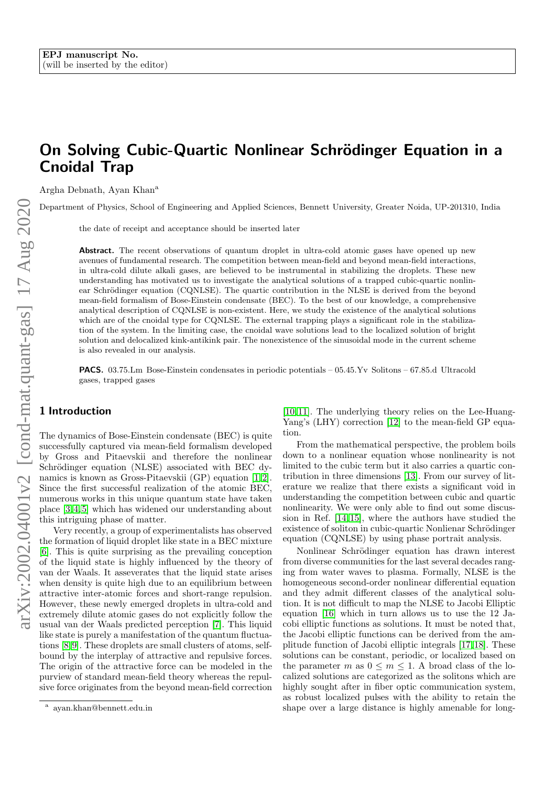# On Solving Cubic-Quartic Nonlinear Schrödinger Equation in a Cnoidal Trap

Argha Debnath, Ayan Khan<sup>a</sup>

Department of Physics, School of Engineering and Applied Sciences, Bennett University, Greater Noida, UP-201310, India

the date of receipt and acceptance should be inserted later

Abstract. The recent observations of quantum droplet in ultra-cold atomic gases have opened up new avenues of fundamental research. The competition between mean-field and beyond mean-field interactions, in ultra-cold dilute alkali gases, are believed to be instrumental in stabilizing the droplets. These new understanding has motivated us to investigate the analytical solutions of a trapped cubic-quartic nonlinear Schrödinger equation (CQNLSE). The quartic contribution in the NLSE is derived from the beyond mean-field formalism of Bose-Einstein condensate (BEC). To the best of our knowledge, a comprehensive analytical description of CQNLSE is non-existent. Here, we study the existence of the analytical solutions which are of the cnoidal type for CQNLSE. The external trapping plays a significant role in the stabilization of the system. In the limiting case, the cnoidal wave solutions lead to the localized solution of bright solution and delocalized kink-antikink pair. The nonexistence of the sinusoidal mode in the current scheme is also revealed in our analysis.

PACS. 03.75.Lm Bose-Einstein condensates in periodic potentials – 05.45.Yv Solitons – 67.85.d Ultracold gases, trapped gases

# 1 Introduction

The dynamics of Bose-Einstein condensate (BEC) is quite successfully captured via mean-field formalism developed by Gross and Pitaevskii and therefore the nonlinear Schrödinger equation (NLSE) associated with BEC dy-namics is known as Gross-Pitaevskii (GP) equation [\[1,](#page-5-0) [2\]](#page-5-1). Since the first successful realization of the atomic BEC, numerous works in this unique quantum state have taken place [\[3,](#page-5-2) [4,](#page-5-3) [5\]](#page-5-4) which has widened our understanding about this intriguing phase of matter.

Very recently, a group of experimentalists has observed the formation of liquid droplet like state in a BEC mixture [\[6\]](#page-5-5). This is quite surprising as the prevailing conception of the liquid state is highly influenced by the theory of van der Waals. It asseverates that the liquid state arises when density is quite high due to an equilibrium between attractive inter-atomic forces and short-range repulsion. However, these newly emerged droplets in ultra-cold and extremely dilute atomic gases do not explicitly follow the usual van der Waals predicted perception [\[7\]](#page-5-6). This liquid like state is purely a manifestation of the quantum fluctuations [\[8,](#page-5-7) [9\]](#page-5-8). These droplets are small clusters of atoms, selfbound by the interplay of attractive and repulsive forces. The origin of the attractive force can be modeled in the purview of standard mean-field theory whereas the repulsive force originates from the beyond mean-field correction [\[10,](#page-5-9) [11\]](#page-5-10). The underlying theory relies on the Lee-Huang-Yang's (LHY) correction [\[12\]](#page-5-11) to the mean-field GP equation.

From the mathematical perspective, the problem boils down to a nonlinear equation whose nonlinearity is not limited to the cubic term but it also carries a quartic contribution in three dimensions [\[13\]](#page-5-12). From our survey of literature we realize that there exists a significant void in understanding the competition between cubic and quartic nonlinearity. We were only able to find out some discussion in Ref. [\[14,](#page-5-13) [15\]](#page-5-14), where the authors have studied the existence of soliton in cubic-quartic Nonlienar Schrödinger equation (CQNLSE) by using phase portrait analysis.

Nonlinear Schrödinger equation has drawn interest from diverse communities for the last several decades ranging from water waves to plasma. Formally, NLSE is the homogeneous second-order nonlinear differential equation and they admit different classes of the analytical solution. It is not difficult to map the NLSE to Jacobi Elliptic equation [\[16\]](#page-5-15) which in turn allows us to use the 12 Jacobi elliptic functions as solutions. It must be noted that, the Jacobi elliptic functions can be derived from the amplitude function of Jacobi elliptic integrals [\[17,](#page-5-16) [18\]](#page-5-17). These solutions can be constant, periodic, or localized based on the parameter m as  $0 \leq m \leq 1$ . A broad class of the localized solutions are categorized as the solitons which are highly sought after in fiber optic communication system, as robust localized pulses with the ability to retain the shape over a large distance is highly amenable for long-

a ayan.khan@bennett.edu.in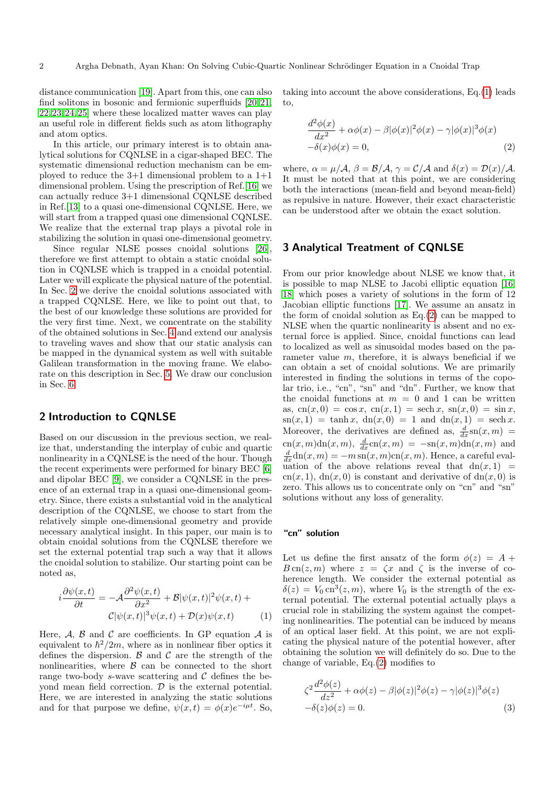distance communication [\[19\]](#page-5-18). Apart from this, one can also find solitons in bosonic and fermionic superfluids [\[20,](#page-5-19) [21,](#page-5-20) [22,](#page-5-21) [23,](#page-5-22) [24,](#page-5-23) [25\]](#page-5-24) where these localized matter waves can play an useful role in different fields such as atom lithography and atom optics.

In this article, our primary interest is to obtain analytical solutions for CQNLSE in a cigar-shaped BEC. The systematic dimensional reduction mechanism can be employed to reduce the  $3+1$  dimensional problem to a  $1+1$ dimensional problem. Using the prescription of Ref.[\[16\]](#page-5-15) we can actually reduce 3+1 dimensional CQNLSE described in Ref.[\[13\]](#page-5-12) to a quasi one-dimensional CQNLSE. Here, we will start from a trapped quasi one dimensional CQNLSE. We realize that the external trap plays a pivotal role in stabilizing the solution in quasi one-dimensional geometry.

Since regular NLSE posses cnoidal solutions [\[26\]](#page-5-25), therefore we first attempt to obtain a static cnoidal solution in CQNLSE which is trapped in a cnoidal potential. Later we will explicate the physical nature of the potential. In Sec. [2](#page-1-0) we derive the cnoidal solutions associated with a trapped CQNLSE. Here, we like to point out that, to the best of our knowledge these solutions are provided for the very first time. Next, we concentrate on the stability of the obtained solutions in Sec. [4](#page-3-0) and extend our analysis to traveling waves and show that our static analysis can be mapped in the dynamical system as well with suitable Galilean transformation in the moving frame. We elaborate on this description in Sec. [5.](#page-4-0) We draw our conclusion in Sec. [6.](#page-4-1)

# <span id="page-1-0"></span>2 Introduction to CQNLSE

Based on our discussion in the previous section, we realize that, understanding the interplay of cubic and quartic nonlinearity in a CQNLSE is the need of the hour. Though the recent experiments were performed for binary BEC [\[6\]](#page-5-5) and dipolar BEC [\[9\]](#page-5-8), we consider a CQNLSE in the presence of an external trap in a quasi one-dimensional geometry. Since, there exists a substantial void in the analytical description of the CQNLSE, we choose to start from the relatively simple one-dimensional geometry and provide necessary analytical insight. In this paper, our main is to obtain cnoidal solutions from the CQNLSE therefore we set the external potential trap such a way that it allows the cnoidal solution to stabilize. Our starting point can be noted as,

<span id="page-1-1"></span>
$$
i\frac{\partial\psi(x,t)}{\partial t} = -\mathcal{A}\frac{\partial^2\psi(x,t)}{\partial x^2} + \mathcal{B}|\psi(x,t)|^2\psi(x,t) + C|\psi(x,t)|^3\psi(x,t) + \mathcal{D}(x)\psi(x,t) \tag{1}
$$

Here,  $A$ ,  $B$  and  $C$  are coefficients. In GP equation  $A$  is equivalent to  $\hbar^2/2m$ , where as in nonlinear fiber optics it defines the dispersion.  $\beta$  and  $\beta$  are the strength of the nonlinearities, where  $\beta$  can be connected to the short range two-body s-wave scattering and  $\mathcal C$  defines the beyond mean field correction.  $D$  is the external potential. Here, we are interested in analyzing the static solutions and for that purpose we define,  $\psi(x,t) = \phi(x)e^{-i\mu t}$ . So, taking into account the above considerations, Eq.[\(1\)](#page-1-1) leads to,

<span id="page-1-2"></span>
$$
\frac{d^2\phi(x)}{dx^2} + \alpha\phi(x) - \beta|\phi(x)|^2\phi(x) - \gamma|\phi(x)|^3\phi(x) \n-\delta(x)\phi(x) = 0,
$$
\n(2)

where,  $\alpha = \mu/\mathcal{A}, \beta = \mathcal{B}/\mathcal{A}, \gamma = \mathcal{C}/\mathcal{A}$  and  $\delta(x) = \mathcal{D}(x)/\mathcal{A}.$ It must be noted that at this point, we are considering both the interactions (mean-field and beyond mean-field) as repulsive in nature. However, their exact characteristic can be understood after we obtain the exact solution.

## 3 Analytical Treatment of CQNLSE

From our prior knowledge about NLSE we know that, it is possible to map NLSE to Jacobi elliptic equation [\[16,](#page-5-15) [18\]](#page-5-17) which poses a variety of solutions in the form of 12 Jacobian elliptic functions [\[17\]](#page-5-16). We assume an ansatz in the form of cnoidal solution as  $Eq.(2)$  $Eq.(2)$  can be mapped to NLSE when the quartic nonlinearity is absent and no external force is applied. Since, cnoidal functions can lead to localized as well as sinusoidal modes based on the parameter value  $m$ , therefore, it is always beneficial if we can obtain a set of cnoidal solutions. We are primarily interested in finding the solutions in terms of the copolar trio, i.e., "cn", "sn" and "dn". Further, we know that the cnoidal functions at  $m = 0$  and 1 can be written as,  $cn(x, 0) = \cos x$ ,  $cn(x, 1) = sech x$ ,  $sn(x, 0) = \sin x$ ,  $\text{sn}(x, 1) = \tanh x, \ \text{dn}(x, 0) = 1 \ \text{and} \ \text{dn}(x, 1) = \text{sech } x.$ Moreover, the derivatives are defined as,  $\frac{d}{dx}$ sn $(x, m)$  = cn(x, m)dn(x, m),  $\frac{d}{dx}$ cn(x, m) = -sn(x, m)dn(x, m) and  $\frac{d}{dx}$ dn $(x,m) = -m \operatorname{sn}(x,m) \operatorname{cn}(x,m)$ . Hence, a careful evaluation of the above relations reveal that  $dn(x, 1)$ cn(x, 1), dn(x, 0) is constant and derivative of dn(x, 0) is zero. This allows us to concentrate only on "cn" and "sn" solutions without any loss of generality.

## "cn" solution

Let us define the first ansatz of the form  $\phi(z) = A +$  $B \text{cn}(z,m)$  where  $z = \zeta x$  and  $\zeta$  is the inverse of coherence length. We consider the external potential as  $\delta(z) = V_0 \text{cn}^3(z,m)$ , where  $V_0$  is the strength of the external potential. The external potential actually plays a crucial role in stabilizing the system against the competing nonlinearities. The potential can be induced by means of an optical laser field. At this point, we are not explicating the physical nature of the potential however, after obtaining the solution we will definitely do so. Due to the change of variable, Eq.[\(2\)](#page-1-2) modifies to

<span id="page-1-3"></span>
$$
\zeta^2 \frac{d^2 \phi(z)}{dz^2} + \alpha \phi(z) - \beta |\phi(z)|^2 \phi(z) - \gamma |\phi(z)|^3 \phi(z)
$$
  
-
$$
\delta(z)\phi(z) = 0.
$$
 (3)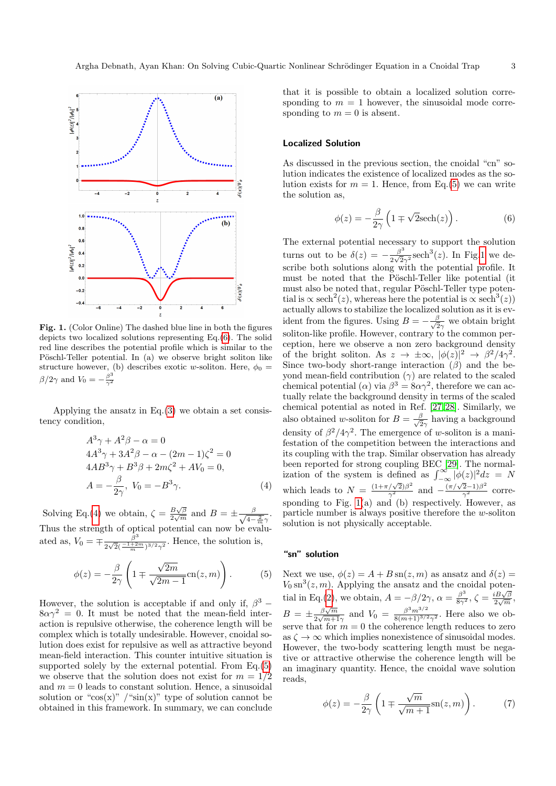

<span id="page-2-3"></span>Fig. 1. (Color Online) The dashed blue line in both the figures depicts two localized solutions representing Eq.[\(6\)](#page-2-0). The solid red line describes the potential profile which is similar to the Pöschl-Teller potential. In (a) we observe bright soliton like structure however, (b) describes exotic w-soliton. Here,  $\phi_0 =$  $\beta/2\gamma$  and  $V_0 = -\frac{\beta^3}{\gamma^2}$  $\overline{\gamma^2}$ 

Applying the ansatz in  $Eq.(3)$  $Eq.(3)$  we obtain a set consistency condition,

<span id="page-2-1"></span>
$$
A^{3}\gamma + A^{2}\beta - \alpha = 0
$$
  
\n
$$
4A^{3}\gamma + 3A^{2}\beta - \alpha - (2m - 1)\zeta^{2} = 0
$$
  
\n
$$
4AB^{3}\gamma + B^{3}\beta + 2m\zeta^{2} + AV_{0} = 0,
$$
  
\n
$$
A = -\frac{\beta}{2\gamma}, V_{0} = -B^{3}\gamma.
$$
\n(4)

Solving Eq.[\(4\)](#page-2-1) we obtain,  $\zeta = \frac{B\sqrt{\beta}}{2\sqrt{m}}$  $rac{B\sqrt{\beta}}{2\sqrt{m}}$  and  $B=\pm \frac{\beta}{\sqrt{4-\beta}}$  $4-\frac{2}{m}\gamma$ . Thus the strength of optical potential can now be evaluated as,  $V_0 = \mp \frac{\beta^3}{2\sqrt{2}(-1)^{1/2}}$  $rac{\beta^{\circ}}{2\sqrt{2}(\frac{-1+2m}{m})^{3/2}\gamma^2}$ . Hence, the solution is,

<span id="page-2-2"></span>
$$
\phi(z) = -\frac{\beta}{2\gamma} \left( 1 \mp \frac{\sqrt{2m}}{\sqrt{2m-1}} \text{cn}(z, m) \right). \tag{5}
$$

However, the solution is acceptable if and only if,  $\beta^3$  –  $8\alpha\gamma^2 = 0$ . It must be noted that the mean-field interaction is repulsive otherwise, the coherence length will be complex which is totally undesirable. However, cnoidal solution does exist for repulsive as well as attractive beyond mean-field interaction. This counter intuitive situation is supported solely by the external potential. From Eq.[\(5\)](#page-2-2) we observe that the solution does not exist for  $m = 1/2$ and  $m = 0$  leads to constant solution. Hence, a sinusoidal solution or " $cos(x)$ " /" $sin(x)$ " type of solution cannot be obtained in this framework. In summary, we can conclude that it is possible to obtain a localized solution corresponding to  $m = 1$  however, the sinusoidal mode corresponding to  $m = 0$  is absent.

#### Localized Solution

As discussed in the previous section, the cnoidal "cn" solution indicates the existence of localized modes as the solution exists for  $m = 1$ . Hence, from Eq.[\(5\)](#page-2-2) we can write the solution as,

<span id="page-2-0"></span>
$$
\phi(z) = -\frac{\beta}{2\gamma} \left( 1 \mp \sqrt{2} \mathrm{sech}(z) \right). \tag{6}
$$

The external potential necessary to support the solution turns out to be  $\delta(z) = -\frac{\beta^3}{2\sqrt{2}}$  $\frac{\beta^3}{2\sqrt{2}\gamma^2}$ sech<sup>3</sup>(*z*). In Fig[.1](#page-2-3) we describe both solutions along with the potential profile. It must be noted that the Pöschl-Teller like potential (it must also be noted that, regular Pöschl-Teller type potential is  $\propto$  sech<sup>2</sup>(*z*), whereas here the potential is  $\propto$  sech<sup>3</sup>(*z*)) actually allows to stabilize the localized solution as it is evident from the figures. Using  $B = -\frac{\beta}{\sqrt{6}}$  $\frac{\beta}{2\gamma}$  we obtain bright soliton-like profile. However, contrary to the common perception, here we observe a non zero background density of the bright soliton. As  $z \to \pm \infty$ ,  $|\phi(z)|^2 \to \beta^2/4\gamma^2$ . Since two-body short-range interaction  $(\beta)$  and the beyond mean-field contribution  $(\gamma)$  are related to the scaled chemical potential ( $\alpha$ ) via  $\beta^3 = 8\alpha\gamma^2$ , therefore we can actually relate the background density in terms of the scaled chemical potential as noted in Ref. [\[27,](#page-5-26) [28\]](#page-5-27). Similarly, we also obtained w-soliton for  $B = \frac{\beta}{\sqrt{6}}$  $\frac{\beta}{2\gamma}$  having a background density of  $\beta^2/4\gamma^2$ . The emergence of w-soliton is a manifestation of the competition between the interactions and its coupling with the trap. Similar observation has already been reported for strong coupling BEC [\[29\]](#page-5-28). The normalization of the system is defined as  $\int_{-\infty}^{\infty} |\phi(z)|^2 dz = N$ which leads to  $N = \frac{(1+\pi/\sqrt{2})\beta^2}{\gamma^2}$  and  $\frac{(\pi/\sqrt{2}-1)\beta^2}{\gamma^2}$  corresponding to Fig.  $1(a)$  and (b) respectively. However, as particle number is always positive therefore the w-soliton solution is not physically acceptable.

## "sn" solution

Next we use,  $\phi(z) = A + B \sin(z, m)$  as ansatz and  $\delta(z) =$  $V_0$  sn<sup>3</sup> $(z, m)$ . Applying the ansatz and the cnoidal potenv<sub>0</sub> sh (z, *m*). Tipplying the ansatz and the choical potential in Eq.[\(2\)](#page-1-2), we obtain,  $A = -\beta/2\gamma$ ,  $\alpha = \frac{\beta^3}{8\gamma^2}$ ,  $\zeta = \frac{iB\sqrt{\beta}}{2\sqrt{m}}$  $\frac{\partial B\sqrt{\beta}}{2\sqrt{m}},$  $B = \pm \frac{\beta \sqrt{m}}{2 \sqrt{m+1}}$  $\frac{\beta\sqrt{m}}{2\sqrt{m+1}\gamma}$  and  $V_0 = \frac{\beta^3 m^{3/2}}{8(m+1)^{3/2}}$  $\frac{\beta^{\circ}m^{\circ/2}}{8(m+1)^{3/2}\gamma^2}$ . Here also we observe that for  $m = 0$  the coherence length reduces to zero as  $\zeta \to \infty$  which implies nonexistence of sinusoidal modes. However, the two-body scattering length must be negative or attractive otherwise the coherence length will be an imaginary quantity. Hence, the cnoidal wave solution reads,

<span id="page-2-4"></span>
$$
\phi(z) = -\frac{\beta}{2\gamma} \left( 1 \mp \frac{\sqrt{m}}{\sqrt{m+1}} \mathrm{sn}(z, m) \right). \tag{7}
$$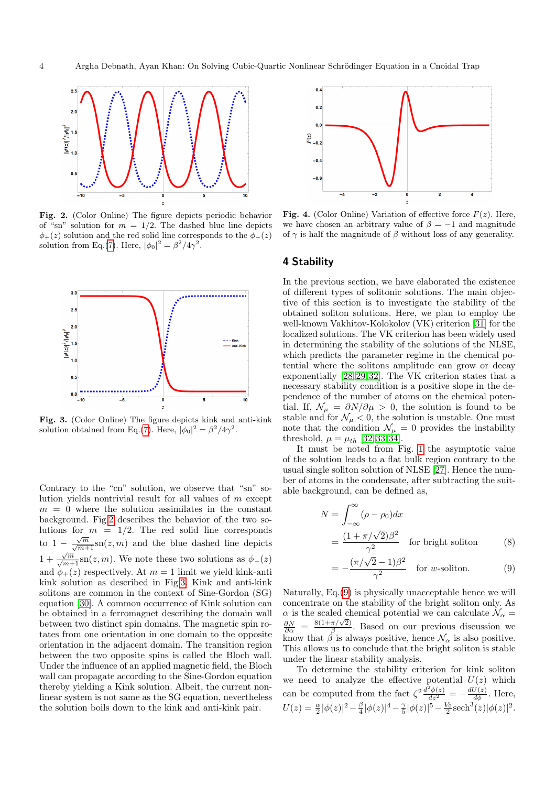

<span id="page-3-1"></span>Fig. 2. (Color Online) The figure depicts periodic behavior of "sn" solution for  $m = 1/2$ . The dashed blue line depicts  $\phi_{+}(z)$  solution and the red solid line corresponds to the  $\phi_{-}(z)$ solution from Eq.[\(7\)](#page-2-4). Here,  $|\phi_0|^2 = \beta^2/4\gamma^2$ .



<span id="page-3-2"></span>Fig. 3. (Color Online) The figure depicts kink and anti-kink solution obtained from Eq.[\(7\)](#page-2-4). Here,  $|\phi_0|^2 = \beta^2/4\gamma^2$ .

Contrary to the "cn" solution, we observe that "sn" solution yields nontrivial result for all values of  $m$  except  $m = 0$  where the solution assimilates in the constant background. Fig[.2](#page-3-1) describes the behavior of the two solutions for  $m = 1/2$ . The red solid line corresponds to  $1 - \frac{\sqrt{m}}{\sqrt{m+1}} \text{sn}(z, m)$  and the blue dashed line depicts  $1 + \frac{\sqrt{m}}{\sqrt{m+1}} \text{sn}(z, m)$ . We note these two solutions as  $\phi_-(z)$ and  $\phi_+(z)$  respectively. At  $m=1$  limit we yield kink-anti kink solution as described in Fig[.3.](#page-3-2) Kink and anti-kink solitons are common in the context of Sine-Gordon (SG) equation [\[30\]](#page-5-29). A common occurrence of Kink solution can be obtained in a ferromagnet describing the domain wall between two distinct spin domains. The magnetic spin rotates from one orientation in one domain to the opposite orientation in the adjacent domain. The transition region between the two opposite spins is called the Bloch wall. Under the influence of an applied magnetic field, the Bloch wall can propagate according to the Sine-Gordon equation thereby yielding a Kink solution. Albeit, the current nonlinear system is not same as the SG equation, nevertheless the solution boils down to the kink and anti-kink pair.



<span id="page-3-4"></span>**Fig. 4.** (Color Online) Variation of effective force  $F(z)$ . Here, we have chosen an arbitrary value of  $\beta = -1$  and magnitude of  $\gamma$  is half the magnitude of  $\beta$  without loss of any generality.

#### <span id="page-3-0"></span>4 Stability

In the previous section, we have elaborated the existence of different types of solitonic solutions. The main objective of this section is to investigate the stability of the obtained soliton solutions. Here, we plan to employ the well-known Vakhitov-Kolokolov (VK) criterion [\[31\]](#page-5-30) for the localized solutions. The VK criterion has been widely used in determining the stability of the solutions of the NLSE, which predicts the parameter regime in the chemical potential where the solitons amplitude can grow or decay exponentially [\[28,](#page-5-27) [29,](#page-5-28) [32\]](#page-5-31). The VK criterion states that a necessary stability condition is a positive slope in the dependence of the number of atoms on the chemical potential. If,  $\mathcal{N}_{\mu} = \partial N/\partial \mu > 0$ , the solution is found to be stable and for  $\mathcal{N}_{\mu} < 0$ , the solution is unstable. One must note that the condition  $\mathcal{N}_{\mu} = 0$  provides the instability threshold,  $\mu = \mu_{th}$  [\[32,](#page-5-31) [33,](#page-5-32) [34\]](#page-5-33).

It must be noted from Fig. [1](#page-2-3) the asymptotic value of the solution leads to a flat bulk region contrary to the usual single soliton solution of NLSE [\[27\]](#page-5-26). Hence the number of atoms in the condensate, after subtracting the suitable background, can be defined as,

<span id="page-3-3"></span>
$$
N = \int_{-\infty}^{\infty} (\rho - \rho_0) dx
$$
  
= 
$$
\frac{(1 + \pi/\sqrt{2})\beta^2}{\gamma^2}
$$
 for bright soliton (8)

$$
= -\frac{(\pi/\sqrt{2}-1)\beta^2}{\gamma^2} \quad \text{for } w \text{-soliton.} \tag{9}
$$

Naturally, Eq.[\(9\)](#page-3-3) is physically unacceptable hence we will concentrate on the stability of the bright soliton only. As  $\alpha$  is the scaled chemical potential we can calculate  $\mathcal{N}_\alpha$  =  $\frac{\partial N}{\partial \alpha}$  =  $8(1+\pi/\sqrt{2})$  $\frac{\pi/\sqrt{2}}{\beta}$ . Based on our previous discussion we know that  $\beta$  is always positive, hence  $\mathcal{N}_{\alpha}$  is also positive. This allows us to conclude that the bright soliton is stable under the linear stability analysis.

To determine the stability criterion for kink soliton we need to analyze the effective potential  $U(z)$  which can be computed from the fact  $\zeta^2 \frac{d^2 \phi(z)}{dz^2} = -\frac{dU(z)}{d\phi}$ . Here,  $U(z) = \frac{\alpha}{2} |\phi(z)|^2 - \frac{\beta}{4} |\phi(z)|^4 - \frac{\gamma}{5} |\phi(z)|^5 - \frac{V_0}{2} \text{sech}^3(z) |\phi(z)|^2.$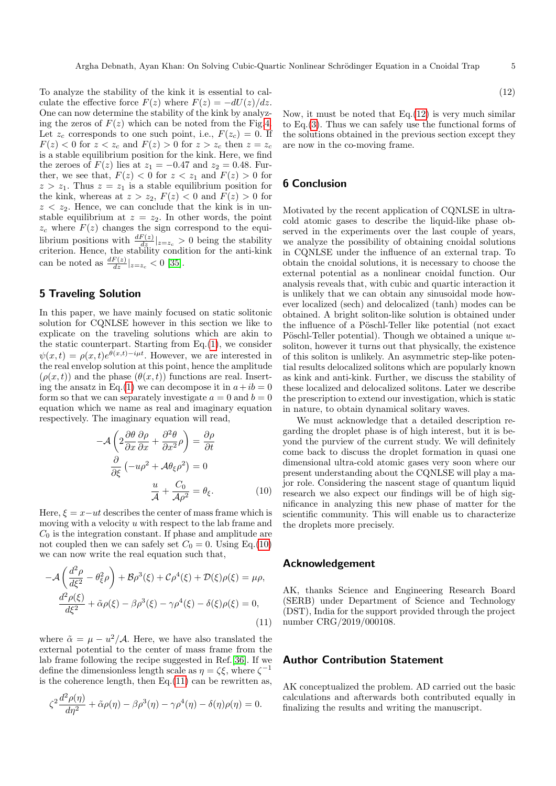To analyze the stability of the kink it is essential to calculate the effective force  $F(z)$  where  $F(z) = -dU(z)/dz$ . One can now determine the stability of the kink by analyzing the zeros of  $F(z)$  which can be noted from the Fig[.4.](#page-3-4) Let  $z_c$  corresponds to one such point, i.e.,  $F(z_c) = 0$ . If  $F(z) < 0$  for  $z < z_c$  and  $F(z) > 0$  for  $z > z_c$  then  $z = z_c$ is a stable equilibrium position for the kink. Here, we find the zeroes of  $F(z)$  lies at  $z_1 = -0.47$  and  $z_2 = 0.48$ . Further, we see that,  $F(z) < 0$  for  $z < z_1$  and  $F(z) > 0$  for  $z > z_1$ . Thus  $z = z_1$  is a stable equilibrium position for the kink, whereas at  $z > z_2$ ,  $F(z) < 0$  and  $F(z) > 0$  for  $z < z_2$ . Hence, we can conclude that the kink is in unstable equilibrium at  $z = z_2$ . In other words, the point  $z_c$  where  $F(z)$  changes the sign correspond to the equilibrium positions with  $\frac{dF(z)}{dz}|_{z=z_c} > 0$  being the stability criterion. Hence, the stability condition for the anti-kink can be noted as  $\frac{dF(z)}{dz}|_{z=z_c} < 0$  [\[35\]](#page-5-34).

# <span id="page-4-0"></span>5 Traveling Solution

In this paper, we have mainly focused on static solitonic solution for CQNLSE however in this section we like to explicate on the traveling solutions which are akin to the static counterpart. Starting from Eq.[\(1\)](#page-1-1), we consider  $\psi(x,t) = \rho(x,t)e^{\theta(x,t)-i\mu t}$ . However, we are interested in the real envelop solution at this point, hence the amplitude  $(\rho(x,t))$  and the phase  $(\theta(x,t))$  functions are real. Insert-ing the ansatz in Eq.[\(1\)](#page-1-1) we can decompose it in  $a+ib=0$ form so that we can separately investigate  $a = 0$  and  $b = 0$ equation which we name as real and imaginary equation respectively. The imaginary equation will read,

<span id="page-4-2"></span>
$$
-\mathcal{A}\left(2\frac{\partial\theta}{\partial x}\frac{\partial\rho}{\partial x} + \frac{\partial^2\theta}{\partial x^2}\rho\right) = \frac{\partial\rho}{\partial t}
$$

$$
\frac{\partial}{\partial\xi}\left(-u\rho^2 + \mathcal{A}\theta_{\xi}\rho^2\right) = 0
$$

$$
\frac{u}{\mathcal{A}} + \frac{C_0}{\mathcal{A}\rho^2} = \theta_{\xi}.
$$
(10)

Here,  $\xi = x - ut$  describes the center of mass frame which is moving with a velocity u with respect to the lab frame and  $C_0$  is the integration constant. If phase and amplitude are not coupled then we can safely set  $C_0 = 0$ . Using Eq.[\(10\)](#page-4-2) we can now write the real equation such that,

<span id="page-4-3"></span>
$$
-\mathcal{A}\left(\frac{d^2\rho}{d\xi^2} - \theta_\xi^2\rho\right) + \mathcal{B}\rho^3(\xi) + \mathcal{C}\rho^4(\xi) + \mathcal{D}(\xi)\rho(\xi) = \mu\rho,
$$
  

$$
\frac{d^2\rho(\xi)}{d\xi^2} + \tilde{\alpha}\rho(\xi) - \beta\rho^3(\xi) - \gamma\rho^4(\xi) - \delta(\xi)\rho(\xi) = 0,
$$
  
(11)

where  $\tilde{\alpha} = \mu - u^2/\mathcal{A}$ . Here, we have also translated the external potential to the center of mass frame from the lab frame following the recipe suggested in Ref.[\[36\]](#page-5-35). If we define the dimensionless length scale as  $\eta = \zeta \xi$ , where  $\zeta^{-1}$ is the coherence length, then  $Eq.(11)$  $Eq.(11)$  can be rewritten as,

<span id="page-4-4"></span>
$$
\zeta^2 \frac{d^2 \rho(\eta)}{d\eta^2} + \tilde{\alpha}\rho(\eta) - \beta \rho^3(\eta) - \gamma \rho^4(\eta) - \delta(\eta)\rho(\eta) = 0.
$$

(12)

Now, it must be noted that Eq. $(12)$  is very much similar to Eq.[\(3\)](#page-1-3). Thus we can safely use the functional forms of the solutions obtained in the previous section except they are now in the co-moving frame.

## <span id="page-4-1"></span>6 Conclusion

Motivated by the recent application of CQNLSE in ultracold atomic gases to describe the liquid-like phase observed in the experiments over the last couple of years, we analyze the possibility of obtaining cnoidal solutions in CQNLSE under the influence of an external trap. To obtain the cnoidal solutions, it is necessary to choose the external potential as a nonlinear cnoidal function. Our analysis reveals that, with cubic and quartic interaction it is unlikely that we can obtain any sinusoidal mode however localized (sech) and delocalized (tanh) modes can be obtained. A bright soliton-like solution is obtained under the influence of a Pöschl-Teller like potential (not exact Pöschl-Teller potential). Though we obtained a unique  $w$ soliton, however it turns out that physically, the existence of this soliton is unlikely. An asymmetric step-like potential results delocalized solitons which are popularly known as kink and anti-kink. Further, we discuss the stability of these localized and delocalized solitons. Later we describe the prescription to extend our investigation, which is static in nature, to obtain dynamical solitary waves.

We must acknowledge that a detailed description regarding the droplet phase is of high interest, but it is beyond the purview of the current study. We will definitely come back to discuss the droplet formation in quasi one dimensional ultra-cold atomic gases very soon where our present understanding about the CQNLSE will play a major role. Considering the nascent stage of quantum liquid research we also expect our findings will be of high significance in analyzing this new phase of matter for the scientific community. This will enable us to characterize the droplets more precisely.

### Acknowledgement

AK, thanks Science and Engineering Research Board (SERB) under Department of Science and Technology (DST), India for the support provided through the project number CRG/2019/000108.

#### Author Contribution Statement

AK conceptualized the problem. AD carried out the basic calculations and afterwards both contributed equally in finalizing the results and writing the manuscript.